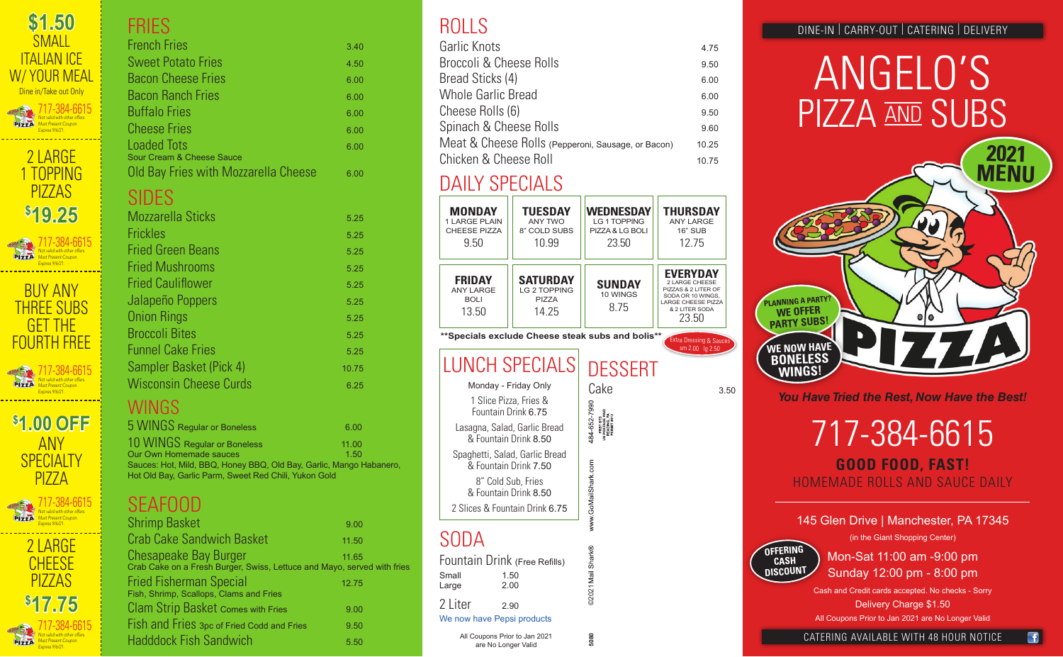**\$ 17.75**

PIZZA

# ANGELO'S PIZZA AND SUBS

Lasagna, Salad, Garlic Bread & Fountain Drink 8.50 Spaghetti, Salad, Garlic Bread & Fountain Drink 7.50

8" Cold Sub, Fries & Fountain Drink 8.50

2 Slices & Fountain Drink 6.75

#### 717-384-6615 **GOOD FOOD, FAST!** HOMEMADE ROLLS AND SAUCE DAILY

| <b>MONDAY</b><br><b>1 LARGE PLAIN</b><br><b>CHEESE PIZZA</b><br>9.50                                                           | <b>TUESDAY</b><br><b>ANY TWO</b><br>8" COLD SUBS<br>10.99 | <b>WEDNESDAY</b><br>LG 1 TOPPING<br>PIZZA & LG BOLI<br>23.50 | THURSDAY<br><b>ANY LARGE</b><br><b>16" SUB</b><br>12.75                                                                               |      |
|--------------------------------------------------------------------------------------------------------------------------------|-----------------------------------------------------------|--------------------------------------------------------------|---------------------------------------------------------------------------------------------------------------------------------------|------|
| <b>FRIDAY</b><br><b>ANY LARGE</b><br><b>BOLI</b><br>13.50                                                                      | <b>SATURDAY</b><br>LG 2 TOPPING<br><b>PIZZA</b><br>14.25  | <b>SUNDAY</b><br>10 WINGS<br>8.75                            | <b>EVERYDAY</b><br>2 LARGE CHEESE<br>PIZZAS & 2 LITER OF<br>SODA OR 10 WINGS,<br><b>LARGE CHEESE PIZZA</b><br>& 2 LITER SODA<br>23.50 |      |
|                                                                                                                                |                                                           | **Specials exclude Cheese steak subs and bolis**             | <b>Extra Dressing &amp; Sauces</b><br>sm 2.00 lg 2.50                                                                                 |      |
| Monday - Friday Only<br>1 Slice Pizza, Fries &<br>Fountain Drink 6.75<br>Lasagna, Salad, Garlic Bread<br>& Fountain Drink 8.50 | <b>LUNCH SPECIALS</b>                                     | <b>DESSERT</b><br>Cake<br>484-652-799C<br>š                  |                                                                                                                                       | 3.50 |

#### 145 Glen Drive | Manchester, PA 17345 (in the Giant Shopping Center)

Mon-Sat 11:00 am -9:00 pm Sunday 12:00 pm - 8:00 pm

Cash and Credit cards accepted. No checks - Sorry Delivery Charge \$1.50 All Coupons Prior to Jan 2021 are No Longer Valid

## DAILY SPECIALS

| \$1.50<br><b>SMALL</b><br>ITAI IAN ICF<br>W/YOUR MEAL<br>Dine in/Take out Only<br>717-384-6615<br>Not valid with other offers.<br><b>PIZZA</b><br>Must Present Coupon.<br><b>Expires 9/6/21.</b> |
|--------------------------------------------------------------------------------------------------------------------------------------------------------------------------------------------------|
| 2 LARGE<br><u>1 TOPPING</u><br>PI77AS<br>\$19,25<br>717-384-6615<br>Not valid with other offers.<br>Must Present Coupon.                                                                         |
| <b>Expires 9/6/21.</b><br>BUY ANY<br><b>THREE SUBS</b><br>GET THE<br>FOURTH FRFF<br>717-384-6615<br>Not valid with other offers.<br>nt Coupon.<br>Expires 9/6/21.<br>Г                           |
| \$1,00 OFF<br>ANY<br>SPECIALTY<br>P177A<br>717-384-6615<br>Not valid with other offers.<br>Must Present Coupon.<br>Expires 9/6/21<br>r                                                           |
| r<br>r<br>2 LARGF<br>Г<br>r<br>I<br>CHFFSF<br>Ī<br>r<br>r<br>PIZZAS<br>ī                                                                                                                         |

| I HILO                                                                                                                       |               |
|------------------------------------------------------------------------------------------------------------------------------|---------------|
| <b>French Fries</b>                                                                                                          | 3.40          |
| <b>Sweet Potato Fries</b>                                                                                                    | 4.50          |
| <b>Bacon Cheese Fries</b>                                                                                                    | 6.00          |
| <b>Bacon Ranch Fries</b>                                                                                                     | 6.00          |
| <b>Buffalo Fries</b>                                                                                                         | 6.00          |
| <b>Cheese Fries</b>                                                                                                          | 6.00          |
| <b>Loaded Tots</b>                                                                                                           | 6.00          |
| Sour Cream & Cheese Sauce<br>Old Bay Fries with Mozzarella Cheese                                                            | 6.00          |
| <b>SIDES</b>                                                                                                                 |               |
| <b>Mozzarella Sticks</b>                                                                                                     | 5.25          |
| <b>Frickles</b>                                                                                                              | 5.25          |
| <b>Fried Green Beans</b>                                                                                                     | 5.25          |
| <b>Fried Mushrooms</b>                                                                                                       | 5.25          |
| <b>Fried Cauliflower</b>                                                                                                     | 5.25          |
| Jalapeño Poppers                                                                                                             | 5.25          |
| <b>Onion Rings</b>                                                                                                           | 5.25          |
| <b>Broccoli Bites</b>                                                                                                        | 5.25          |
| <b>Funnel Cake Fries</b>                                                                                                     | 5.25          |
| Sampler Basket (Pick 4)                                                                                                      | 10.75         |
| <b>Wisconsin Cheese Curds</b>                                                                                                | 6.25          |
| WINGS                                                                                                                        |               |
| 5 WINGS Regular or Boneless                                                                                                  |               |
| 10 WINGS Regular or Boneless                                                                                                 | 6.00          |
| Our Own Homemade sauces                                                                                                      | 11.00<br>1.50 |
| Sauces: Hot, Mild, BBQ, Honey BBQ, Old Bay, Garlic, Mango Habanero,<br>Hot Old Bay, Garlic Parm, Sweet Red Chili, Yukon Gold |               |
| <b>SEAFOOD</b>                                                                                                               |               |
| <b>Shrimp Basket</b>                                                                                                         | 9.00          |
| <b>Crab Cake Sandwich Basket</b>                                                                                             | 11.50         |
| Chesapeake Bay Burger<br>Crab Cake on a Fresh Burger, Swiss, Lettuce and Mayo, served with fries                             | 11.65         |
| <b>Fried Fisherman Special</b><br>Fish, Shrimp, Scallops, Clams and Fries                                                    | 12.75         |
| <b>Clam Strip Basket Comes with Fries</b>                                                                                    | 9.00          |
| Fish and Fries 3pc of Fried Codd and Fries                                                                                   | 9.50          |
| <b>Hadddock Fish Sandwich</b>                                                                                                | 5.50          |

### ROLLS

| Garlic Knots                                       | 4.75  |
|----------------------------------------------------|-------|
| Broccoli & Cheese Rolls                            | 9.50  |
| Bread Sticks (4)                                   | 6.00  |
| <b>Whole Garlic Bread</b>                          | 6.00  |
| Cheese Rolls (6)                                   | 9.50  |
| Spinach & Cheese Rolls                             | 9.60  |
| Meat & Cheese Rolls (Pepperoni, Sausage, or Bacon) | 10.25 |
| Chicken & Cheese Roll                              | 10 75 |

717-384-6615 *Not valid with other offers. Must Present Coupon. Expires 9/6/21.*

CATERING AVAILABLE WITH 48 HOUR NOTICE

#### SODA

|                                       | Fountain Drink (Free Refills) |  |  |  |
|---------------------------------------|-------------------------------|--|--|--|
| Small<br>Large                        | 1.50<br>2.00                  |  |  |  |
| 2 Liter<br>We now have Pepsi products | 2.90                          |  |  |  |
| All Coupons Prior to Jan 2021         |                               |  |  |  |

*You Have Tried the Rest, Now Have the Best!*

**2021** 

**MENU**

**OFFERING CASH DISCOUNT**

**PLANNING A PARTY? WE OFFER PARTY SUBS!**

**WE NOW HAVE BONELESS WINGS!**

are No Longer Valid



ERIES DINE-IN | CARRY-OUT | CATERING | DELIVERY

**5080** ©2021

5080

©2021 Ma

둥

**GoMailShark**